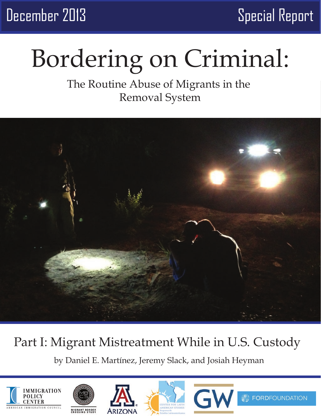December 2013 Special Report

# Bordering on Criminal:

## The Routine Abuse of Migrants in the Removal System



## Part I: Migrant Mistreatment While in U.S. Custody

by Daniel E. Martínez, Jeremy Slack, and Josiah Heyman









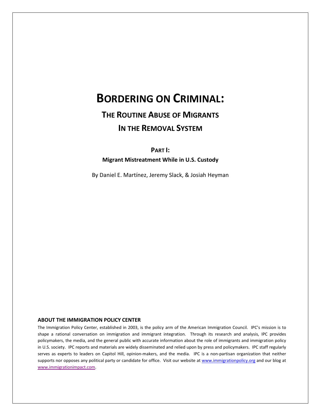## **BORDERING ON CRIMINAL:**

## **THE ROUTINE ABUSE OF MIGRANTS IN THE REMOVAL SYSTEM**

**PART I:**

**Migrant Mistreatment While in U.S. Custody**

By Daniel E. Martínez, Jeremy Slack, & Josiah Heyman

### **ABOUT THE IMMIGRATION POLICY CENTER**

The Immigration Policy Center, established in 2003, is the policy arm of the American Immigration Council. IPC's mission is to shape a rational conversation on immigration and immigrant integration. Through its research and analysis, IPC provides policymakers, the media, and the general public with accurate information about the role of immigrants and immigration policy in U.S. society. IPC reports and materials are widely disseminated and relied upon by press and policymakers. IPC staff regularly serves as experts to leaders on Capitol Hill, opinion-makers, and the media. IPC is a non-partisan organization that neither supports nor opposes any political party or candidate for office. Visit our website at [www.immigrationpolicy.org](http://www.immigrationpolicy.org/) and our blog at [www.immigrationimpact.com.](http://www.immigrationimpact.com/)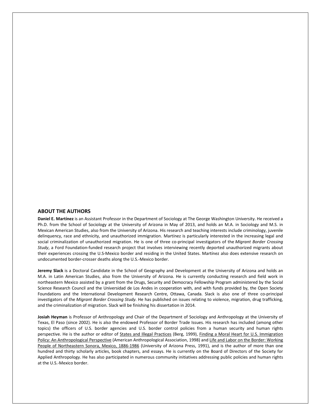### **ABOUT THE AUTHORS**

**Daniel E. Martínez** is an Assistant Professor in the Department of Sociology at The George Washington University. He received a Ph.D. from the School of Sociology at the University of Arizona in May of 2013, and holds an M.A. in Sociology and M.S. in Mexican American Studies, also from the University of Arizona. His research and teaching interests include criminology, juvenile delinquency, race and ethnicity, and unauthorized immigration. Martínez is particularly interested in the increasing legal and social criminalization of unauthorized migration. He is one of three co-principal investigators of the *Migrant Border Crossing Study*, a Ford Foundation-funded research project that involves interviewing recently deported unauthorized migrants about their experiences crossing the U.S-Mexico border and residing in the United States. Martínez also does extensive research on undocumented border-crosser deaths along the U.S.-Mexico border.

**Jeremy Slack** is a Doctoral Candidate in the School of Geography and Development at the University of Arizona and holds an M.A. in Latin American Studies, also from the University of Arizona. He is currently conducting research and field work in northeastern Mexico assisted by a grant from the Drugs, Security and Democracy Fellowship Program administered by the Social Science Research Council and the Universidad de Los Andes in cooperation with, and with funds provided by, the Open Society Foundations and the International Development Research Centre, Ottawa, Canada. Slack is also one of three co-principal investigators of the *Migrant Border Crossing Study.* He has published on issues relating to violence, migration, drug trafficking, and the criminalization of migration. Slack will be finishing his dissertation in 2014.

**Josiah Heyman** is Professor of Anthropology and Chair of the Department of Sociology and Anthropology at the University of Texas, El Paso (since 2002). He is also the endowed Professor of Border Trade Issues. His research has included (among other topics) the officers of U.S. border agencies and U.S. border control policies from a human security and human rights perspective. He is the author or editor of States and Illegal Practices (Berg, 1999), Finding a Moral Heart for U.S. Immigration Policy: An Anthropological Perspective (American Anthropological Association, 1998) and Life and Labor on the Border: Working People of Northeastern Sonora, Mexico, 1886-1986 (University of Arizona Press, 1991), and is the author of more than one hundred and thirty scholarly articles, book chapters, and essays. He is currently on the Board of Directors of the Society for Applied Anthropology. He has also participated in numerous community initiatives addressing public policies and human rights at the U.S.-Mexico border.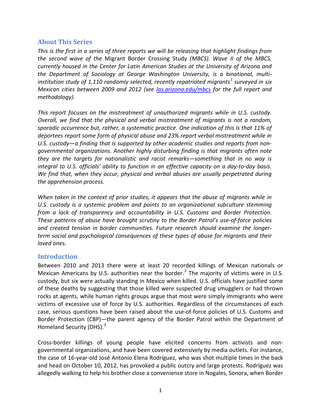### **About This Series**

*This is the first in a series of three reports we will be releasing that highlight findings from the second wave of the* Migrant Border Crossing Study *(MBCS). Wave II of the MBCS, currently housed in the Center for Latin American Studies at the University of Arizona and the Department of Sociology at George Washington University, is a binational, multiinstitution study of 1,110 randomly selected, recently repatriated migrants[1](#page-14-0) surveyed in six Mexican cities between 2009 and 2012 (see [las.arizona.edu/mbcs](http://las.arizona.edu/mbcs) for the full report and methodology).* 

*This report focuses on the mistreatment of unauthorized migrants while in U.S. custody. Overall, we find that the physical and verbal mistreatment of migrants is not a random, sporadic occurrence but, rather, a systematic practice. One indication of this is that 11% of deportees report some form of physical abuse and 23% report verbal mistreatment while in U.S. custody—a finding that is supported by other academic studies and reports from nongovernmental organizations. Another highly disturbing finding is that migrants often note they are the targets for nationalistic and racist remarks—something that in no way is integral to U.S. officials' ability to function in an effective capacity on a day-to-day basis. We find that, when they occur, physical and verbal abuses are usually perpetrated during the apprehension process.*

*When taken in the context of prior studies, it appears that the abuse of migrants while in U.S. custody is a systemic problem and points to an organizational subculture stemming from a lack of transparency and accountability in U.S. Customs and Border Protection. These patterns of abuse have brought scrutiny to the Border Patrol's use-of-force policies and created tension in border communities. Future research should examine the longerterm social and psychological consequences of these types of abuse for migrants and their loved ones.*

### **Introduction**

Between 2010 and 2013 there were at least 20 recorded killings of Mexican nationals or Mexican Americans by U.S. authorities near the border.<sup>[2](#page-14-1)</sup> The majority of victims were in U.S. custody, but six were actually standing in Mexico when killed. U.S. officials have justified some of these deaths by suggesting that those killed were suspected drug smugglers or had thrown rocks at agents, while human rights groups argue that most were simply immigrants who were victims of excessive use of force by U.S. authorities. Regardless of the circumstances of each case, serious questions have been raised about the use-of-force policies of U.S. Customs and Border Protection (CBP)—the parent agency of the Border Patrol within the Department of Homeland Security (DHS).<sup>[3](#page-14-2)</sup>

Cross-border killings of young people have elicited concerns from activists and nongovernmental organizations, and have been covered extensively by media outlets. For instance, the case of 16-year-old José Antonio Elena Rodríguez, who was shot multiple times in the back and head on October 10, 2012, has provoked a public outcry and large protests. Rodríguez was allegedly walking to help his brother close a convenience store in Nogales, Sonora, when Border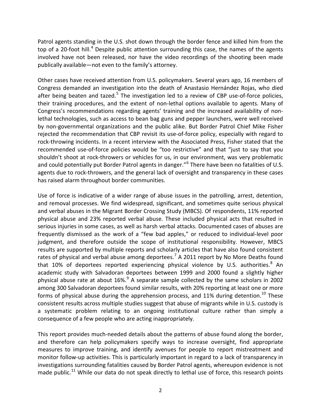Patrol agents standing in the U.S. shot down through the border fence and killed him from the top of a 20-foot hill.<sup>[4](#page-14-3)</sup> Despite public attention surrounding this case, the names of the agents involved have not been released, nor have the video recordings of the shooting been made publically available—not even to the family's attorney.

Other cases have received attention from U.S. policymakers. Several years ago, 16 members of Congress demanded an investigation into the death of Anastasio Hernández Rojas, who died after being beaten and tazed. $5$  The investigation led to a review of CBP use-of-force policies, their training procedures, and the extent of non-lethal options available to agents. Many of Congress's recommendations regarding agents' training and the increased availability of nonlethal technologies, such as access to bean bag guns and pepper launchers, were well received by non-governmental organizations and the public alike. But Border Patrol Chief Mike Fisher rejected the recommendation that CBP revisit its use-of-force policy, especially with regard to rock-throwing incidents. In a recent interview with the Associated Press, Fisher stated that the recommended use-of-force policies would be "too restrictive" and that "just to say that you shouldn't shoot at rock-throwers or vehicles for us, in our environment, was very problematic and could potentially put Border Patrol agents in danger."<sup>[6](#page-14-5)</sup> There have been no fatalities of U.S. agents due to rock-throwers, and the general lack of oversight and transparency in these cases has raised alarm throughout border communities.

Use of force is indicative of a wider range of abuse issues in the patrolling, arrest, detention, and removal processes. We find widespread, significant, and sometimes quite serious physical and verbal abuses in the Migrant Border Crossing Study (MBCS). Of respondents, 11% reported physical abuse and 23% reported verbal abuse. These included physical acts that resulted in serious injuries in some cases, as well as harsh verbal attacks. Documented cases of abuses are frequently dismissed as the work of a "few bad apples," or reduced to individual-level poor judgment, and therefore outside the scope of institutional responsibility. However, MBCS results are supported by multiple reports and scholarly articles that have also found consistent rates of physical and verbal abuse among deportees.<sup>[7](#page-14-6)</sup> A 2011 report by No More Deaths found that 10% of deportees reported experiencing physical violence by U.S. authorities.<sup>[8](#page-14-7)</sup> An academic study with Salvadoran deportees between 1999 and 2000 found a slightly higher physical abuse rate at about  $16\%$ <sup>[9](#page-14-8)</sup> A separate sample collected by the same scholars in 2002 among 300 Salvadoran deportees found similar results, with 20% reporting at least one or more forms of physical abuse during the apprehension process, and  $11\%$  during detention.<sup>[10](#page-14-9)</sup> These consistent results across multiple studies suggest that abuse of migrants while in U.S. custody is a systematic problem relating to an ongoing institutional culture rather than simply a consequence of a few people who are acting inappropriately.

This report provides much-needed details about the patterns of abuse found along the border, and therefore can help policymakers specify ways to increase oversight, find appropriate measures to improve training, and identify avenues for people to report mistreatment and monitor follow-up activities. This is particularly important in regard to a lack of transparency in investigations surrounding fatalities caused by Border Patrol agents, whereupon evidence is not made public.<sup>[11](#page-14-10)</sup> While our data do not speak directly to lethal use of force, this research points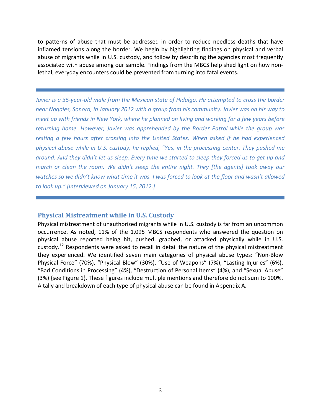to patterns of abuse that must be addressed in order to reduce needless deaths that have inflamed tensions along the border. We begin by highlighting findings on physical and verbal abuse of migrants while in U.S. custody, and follow by describing the agencies most frequently associated with abuse among our sample. Findings from the MBCS help shed light on how nonlethal, everyday encounters could be prevented from turning into fatal events.

*Javier is a 35-year-old male from the Mexican state of Hidalgo. He attempted to cross the border near Nogales, Sonora, in January 2012 with a group from his community. Javier was on his way to meet up with friends in New York, where he planned on living and working for a few years before returning home. However, Javier was apprehended by the Border Patrol while the group was resting a few hours after crossing into the United States. When asked if he had experienced physical abuse while in U.S. custody, he replied, "Yes, in the processing center. They pushed me around. And they didn't let us sleep. Every time we started to sleep they forced us to get up and march or clean the room. We didn't sleep the entire night. They [the agents] took away our watches so we didn't know what time it was. I was forced to look at the floor and wasn't allowed to look up." [Interviewed on January 15, 2012.]*

### **Physical Mistreatment while in U.S. Custody**

Physical mistreatment of unauthorized migrants while in U.S. custody is far from an uncommon occurrence. As noted, 11% of the 1,095 MBCS respondents who answered the question on physical abuse reported being hit, pushed, grabbed, or attacked physically while in U.S. custody.<sup>[12](#page-14-11)</sup> Respondents were asked to recall in detail the nature of the physical mistreatment they experienced. We identified seven main categories of physical abuse types: "Non-Blow Physical Force" (70%), "Physical Blow" (30%), "Use of Weapons" (7%), "Lasting Injuries" (6%), "Bad Conditions in Processing" (4%), "Destruction of Personal Items" (4%), and "Sexual Abuse" (3%) {see Figure 1}. These figures include multiple mentions and therefore do not sum to 100%. A tally and breakdown of each type of physical abuse can be found in Appendix A.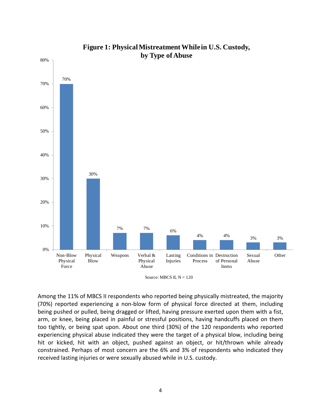

### **Figure 1: Physical Mistreatment While in U.S. Custody, by Type of Abuse**

Among the 11% of MBCS II respondents who reported being physically mistreated, the majority (70%) reported experiencing a non-blow form of physical force directed at them, including being pushed or pulled, being dragged or lifted, having pressure exerted upon them with a fist, arm, or knee, being placed in painful or stressful positions, having handcuffs placed on them too tightly, or being spat upon. About one third (30%) of the 120 respondents who reported experiencing physical abuse indicated they were the target of a physical blow, including being hit or kicked, hit with an object, pushed against an object, or hit/thrown while already constrained. Perhaps of most concern are the 6% and 3% of respondents who indicated they received lasting injuries or were sexually abused while in U.S. custody.

Source: MBCS II,  $N = 120$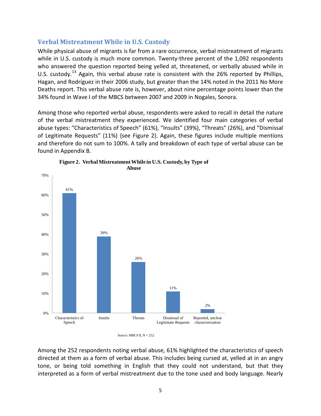### **Verbal Mistreatment While in U.S. Custody**

While physical abuse of migrants is far from a rare occurrence, verbal mistreatment of migrants while in U.S. custody is much more common. Twenty-three percent of the 1,092 respondents who answered the question reported being yelled at, threatened, or verbally abused while in U.S. custody.<sup>[13](#page-14-12)</sup> Again, this verbal abuse rate is consistent with the 26% reported by Phillips, Hagan, and Rodríguez in their 2006 study, but greater than the 14% noted in the 2011 No More Deaths report. This verbal abuse rate is, however, about nine percentage points lower than the 34% found in Wave I of the MBCS between 2007 and 2009 in Nogales, Sonora.

Among those who reported verbal abuse, respondents were asked to recall in detail the nature of the verbal mistreatment they experienced. We identified four main categories of verbal abuse types: "Characteristics of Speech" (61%), "Insults" (39%), "Threats" (26%), and "Dismissal of Legitimate Requests" (11%) {see Figure 2}. Again, these figures include multiple mentions and therefore do not sum to 100%. A tally and breakdown of each type of verbal abuse can be found in Appendix B.



**Figure 2. Verbal Mistreatment While in U.S. Custody, by Type of** 

Among the 252 respondents noting verbal abuse, 61% highlighted the characteristics of speech directed at them as a form of verbal abuse. This includes being cursed at, yelled at in an angry tone, or being told something in English that they could not understand, but that they interpreted as a form of verbal mistreatment due to the tone used and body language. Nearly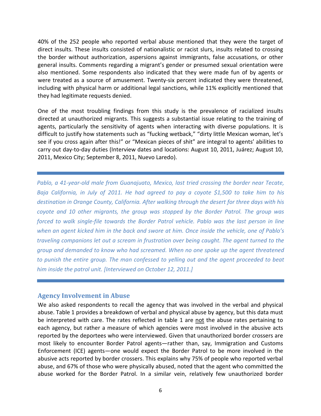40% of the 252 people who reported verbal abuse mentioned that they were the target of direct insults. These insults consisted of nationalistic or racist slurs, insults related to crossing the border without authorization, aspersions against immigrants, false accusations, or other general insults. Comments regarding a migrant's gender or presumed sexual orientation were also mentioned. Some respondents also indicated that they were made fun of by agents or were treated as a source of amusement. Twenty-six percent indicated they were threatened, including with physical harm or additional legal sanctions, while 11% explicitly mentioned that they had legitimate requests denied.

One of the most troubling findings from this study is the prevalence of racialized insults directed at unauthorized migrants. This suggests a substantial issue relating to the training of agents, particularly the sensitivity of agents when interacting with diverse populations. It is difficult to justify how statements such as "fucking wetback," "dirty little Mexican woman, let's see if you cross again after this!" or "Mexican pieces of shit" are integral to agents' abilities to carry out day-to-day duties (Interview dates and locations: August 10, 2011, Juárez; August 10, 2011, Mexico City; September 8, 2011, Nuevo Laredo).

*Pablo, a 41-year-old male from Guanajuato, Mexico, last tried crossing the border near Tecate, Baja California, in July of 2011. He had agreed to pay a coyote \$1,500 to take him to his destination in Orange County, California. After walking through the desert for three days with his coyote and 10 other migrants, the group was stopped by the Border Patrol. The group was forced to walk single-file towards the Border Patrol vehicle. Pablo was the last person in line when an agent kicked him in the back and swore at him. Once inside the vehicle, one of Pablo's traveling companions let out a scream in frustration over being caught. The agent turned to the group and demanded to know who had screamed. When no one spoke up the agent threatened to punish the entire group. The man confessed to yelling out and the agent proceeded to beat him inside the patrol unit. [Interviewed on October 12, 2011.]*

### **Agency Involvement in Abuse**

We also asked respondents to recall the agency that was involved in the verbal and physical abuse. Table 1 provides a breakdown of verbal and physical abuse by agency, but this data must be interpreted with care. The rates reflected in table 1 are not the abuse rates pertaining to each agency, but rather a measure of which agencies were most involved in the abusive acts reported by the deportees who were interviewed. Given that unauthorized border crossers are most likely to encounter Border Patrol agents—rather than, say, Immigration and Customs Enforcement (ICE) agents—one would expect the Border Patrol to be more involved in the abusive acts reported by border crossers. This explains why 75% of people who reported verbal abuse, and 67% of those who were physically abused, noted that the agent who committed the abuse worked for the Border Patrol. In a similar vein, relatively few unauthorized border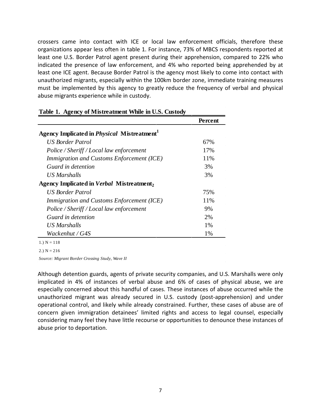crossers came into contact with ICE or local law enforcement officials, therefore these organizations appear less often in table 1. For instance, 73% of MBCS respondents reported at least one U.S. Border Patrol agent present during their apprehension, compared to 22% who indicated the presence of law enforcement, and 4% who reported being apprehended by at least one ICE agent. Because Border Patrol is the agency most likely to come into contact with unauthorized migrants, especially within the 100km border zone, immediate training measures must be implemented by this agency to greatly reduce the frequency of verbal and physical abuse migrants experience while in custody.

|                                                                | Percent |
|----------------------------------------------------------------|---------|
| Agency Implicated in <i>Physical</i> Mistreatment <sup>1</sup> |         |
| US Border Patrol                                               | 67%     |
| Police / Sheriff / Local law enforcement                       | 17%     |
| Immigration and Customs Enforcement (ICE)                      | 11%     |
| Guard in detention                                             | 3%      |
| US Marshalls                                                   | 3%      |
| Agency Implicated in <i>Verbal</i> Mistreatment <sub>2</sub>   |         |
| <b>US Border Patrol</b>                                        | 75%     |
| Immigration and Customs Enforcement (ICE)                      | 11%     |
| Police / Sheriff / Local law enforcement                       | 9%      |
| Guard in detention                                             | 2%      |
| US Marshalls                                                   | 1%      |
| Wackenhut / G4S                                                | 1%      |

### **Table 1. Agency of Mistreatment While in U.S. Custody**

2.)  $N = 216$ 

*Source: Migrant Border Crossing Study, Wave II*

Although detention guards, agents of private security companies, and U.S. Marshalls were only implicated in 4% of instances of verbal abuse and 6% of cases of physical abuse, we are especially concerned about this handful of cases. These instances of abuse occurred while the unauthorized migrant was already secured in U.S. custody (post-apprehension) and under operational control, and likely while already constrained. Further, these cases of abuse are of concern given immigration detainees' limited rights and access to legal counsel, especially considering many feel they have little recourse or opportunities to denounce these instances of abuse prior to deportation.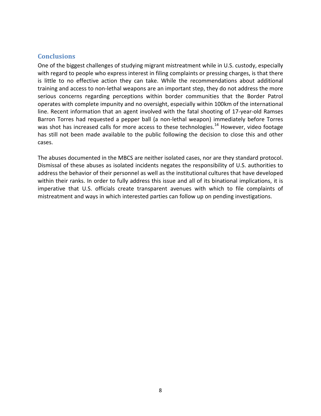### **Conclusions**

One of the biggest challenges of studying migrant mistreatment while in U.S. custody, especially with regard to people who express interest in filing complaints or pressing charges, is that there is little to no effective action they can take. While the recommendations about additional training and access to non-lethal weapons are an important step, they do not address the more serious concerns regarding perceptions within border communities that the Border Patrol operates with complete impunity and no oversight, especially within 100km of the international line. Recent information that an agent involved with the fatal shooting of 17-year-old Ramses Barron Torres had requested a pepper ball (a non-lethal weapon) immediately before Torres was shot has increased calls for more access to these technologies.<sup>[14](#page-14-13)</sup> However, video footage has still not been made available to the public following the decision to close this and other cases.

The abuses documented in the MBCS are neither isolated cases, nor are they standard protocol. Dismissal of these abuses as isolated incidents negates the responsibility of U.S. authorities to address the behavior of their personnel as well as the institutional cultures that have developed within their ranks. In order to fully address this issue and all of its binational implications, it is imperative that U.S. officials create transparent avenues with which to file complaints of mistreatment and ways in which interested parties can follow up on pending investigations.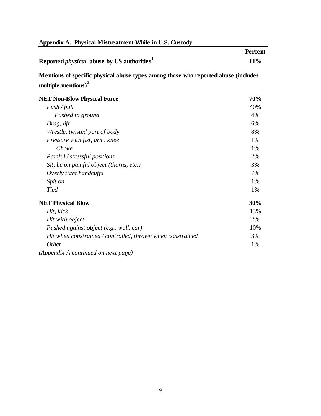|                                                                                                                       | Percent |
|-----------------------------------------------------------------------------------------------------------------------|---------|
| Reported <i>physical</i> abuse by US authorities <sup>1</sup>                                                         | 11%     |
| Mentions of specific physical abuse types among those who reported abuse (includes<br>multiple mentions) <sup>2</sup> |         |
| <b>NET Non-Blow Physical Force</b>                                                                                    | 70%     |
| $Push$ / pull                                                                                                         | 40%     |
| Pushed to ground                                                                                                      | 4%      |
| Drag, lift                                                                                                            | 6%      |
| Wrestle, twisted part of body                                                                                         | 8%      |
| Pressure with fist, arm, knee                                                                                         | 1%      |
| Choke                                                                                                                 | 1%      |
| Painful / stressful positions                                                                                         | 2%      |
| Sit, lie on painful object (thorns, etc.)                                                                             | 3%      |
| Overly tight handcuffs                                                                                                | 7%      |
| Spit on                                                                                                               | 1%      |
| <b>Tied</b>                                                                                                           | 1%      |
| <b>NET Physical Blow</b>                                                                                              | 30%     |
| Hit, kick                                                                                                             | 13%     |
| Hit with object                                                                                                       | 2%      |
| Pushed against object (e.g., wall, car)                                                                               | 10%     |
| Hit when constrained / controlled, thrown when constrained                                                            | 3%      |
| <b>Other</b>                                                                                                          | 1%      |
| (Appendix A continued on next page)                                                                                   |         |

## **Appendix A. Physical Mistreatment While in U.S. Custody**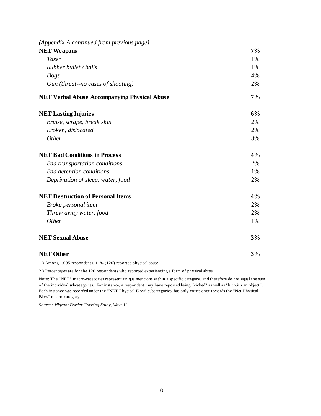| (Appendix A continued from previous page)           |    |
|-----------------------------------------------------|----|
| <b>NET Weapons</b>                                  | 7% |
| <b>Taser</b>                                        | 1% |
| Rubber bullet / balls                               | 1% |
| Dogs                                                | 4% |
| Gun (threat--no cases of shooting)                  | 2% |
| <b>NET Verbal Abuse Accompanying Physical Abuse</b> | 7% |
| <b>NET Lasting Injuries</b>                         | 6% |
| Bruise, scrape, break skin                          | 2% |
| Broken, dislocated                                  | 2% |
| <b>Other</b>                                        | 3% |
| <b>NET Bad Conditions in Process</b>                | 4% |
| <b>Bad transportation conditions</b>                | 2% |
| <b>Bad detention conditions</b>                     | 1% |
| Deprivation of sleep, water, food                   | 2% |
| <b>NET Destruction of Personal Items</b>            | 4% |
| Broke personal item                                 | 2% |
| Threw away water, food                              | 2% |
| <b>Other</b>                                        | 1% |
| <b>NET Sexual Abuse</b>                             | 3% |
| <b>NET Other</b>                                    | 3% |

1.) Among 1,095 respondents, 11% (120) reported physical abuse.

2.) Percentages are for the 120 respondents who reported experiencing a form of physical abuse.

Note: The "NET" macro-categories represent unique mentions within a specific category, and therefore do not equal the sum of the individual subcategories. For instance, a respondent may have reported being "kicked" as well as "hit with an object". Each instance was recorded under the "NET Physical Blow" subcategories, but only count once towards the "Net Physical Blow" macro-category.

*Source: Migrant Border Crossing Study, Wave II*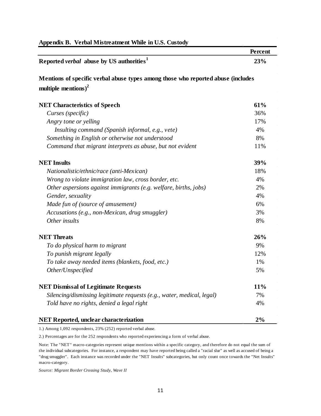| Appendix B. Verbal Mistreatment While in U.S. Custody                            |         |  |
|----------------------------------------------------------------------------------|---------|--|
|                                                                                  | Percent |  |
| Reported <i>verbal</i> abuse by US authorities <sup>1</sup>                      | 23%     |  |
| Mentions of specific verbal abuse types among those who reported abuse (includes |         |  |
| multiple mentions) <sup>2</sup>                                                  |         |  |
| <b>NET Characteristics of Speech</b>                                             | 61%     |  |
| Curses (specific)                                                                | 36%     |  |
| Angry tone or yelling                                                            | 17%     |  |
| Insulting command (Spanish informal, e.g., vete)                                 | 4%      |  |
| Something in English or otherwise not understood                                 | 8%      |  |
| Command that migrant interprets as abuse, but not evident                        | 11%     |  |
| <b>NET Insults</b>                                                               | 39%     |  |
| Nationalistic/ethnic/race (anti-Mexican)                                         | 18%     |  |
| Wrong to violate immigration law, cross border, etc.                             | 4%      |  |
| Other aspersions against immigrants (e.g. welfare, births, jobs)                 | 2%      |  |
| Gender, sexuality                                                                | 4%      |  |
| Made fun of (source of amusement)                                                | 6%      |  |
| Accusations (e.g., non-Mexican, drug smuggler)                                   | 3%      |  |
| Other insults                                                                    | 8%      |  |
| <b>NET</b> Threats                                                               | 26%     |  |
| To do physical harm to migrant                                                   | 9%      |  |
| To punish migrant legally                                                        | 12%     |  |
| To take away needed items (blankets, food, etc.)                                 | 1%      |  |
| Other/Unspecified                                                                | 5%      |  |
| <b>NET Dismissal of Legitimate Requests</b>                                      | 11%     |  |
| Silencing/dismissing legitimate requests (e.g., water, medical, legal)           | 7%      |  |
| Told have no rights, denied a legal right                                        | 4%      |  |
| <b>NET Reported, unclear characterization</b>                                    | 2%      |  |

1.) Among 1,092 respondents, 23% (252) reported verbal abuse.

2.) Percentages are for the 252 respondents who reported experiencing a form of verbal abuse.

Note: The "NET" macro-categories represent unique mentions within a specific category, and therefore do not equal the sum of the individual subcategories. For instance, a respondent may have reported being called a "racial slur" as well as accused of being a "drug smuggler". Each instance was recorded under the "NET Insults" subcategories, but only count once towards the "Net Insults" macro-category.

*Source: Migrant Border Crossing Study, Wave II*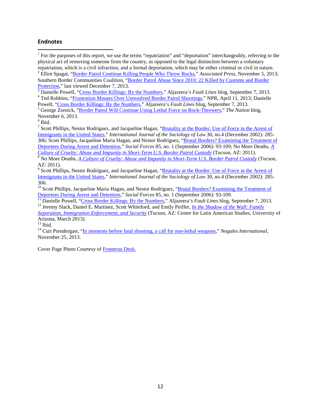### **Endnotes**

<span id="page-14-0"></span> $1$  For the purposes of this report, we use the terms "repatriation" and "deportation" interchangeably, referring to the physical act of removing someone from the country, as opposed to the legal distinction between a voluntary repatriation, which is a civil infraction, and a formal deportation, which may be either criminal or civil in nature.<br><sup>2</sup> Elliot Spagat, ["Border Patrol Continue Killing People Who Throw Rocks,"](http://www.huffingtonpost.com/2013/11/05/border-patrol-killing_n_4218334.html) Associated Press, November 5

<span id="page-14-1"></span>Southern Border Communities Coalition, ["Border Patrol Abuse Since 2010: 22 Killed by Customs and Border](http://soboco.org/border-patrol-brutality-since-2010/) 

<span id="page-14-2"></span>[Protection,](http://soboco.org/border-patrol-brutality-since-2010/)" last viewed December 7, 2013.<br>
<sup>3</sup> Danielle Powell, ["Cross Border Killings: By the Numbers,](http://america.aljazeera.com/watch/shows/fault-lines/FaultLinesBlog/2013/9/7/cross-border-killingsbythenumbersinfographic.html)" Aljazeera's Fault Lines blog, September 7, 2013.<br>
<sup>4</sup> Ted Robbins, "Frustration Mounts Over Unresolved Border Patrol

<span id="page-14-3"></span>

<span id="page-14-4"></span><sup>5</sup> George Zornick, "<u>Border Patrol Will Continue Using Lethal Force on Rock-Throwers</u>," *The Nation* blog, November 6, 2013.<br><sup>6</sup> Ibid.

<span id="page-14-6"></span><span id="page-14-5"></span><sup>7</sup> Scott Phillips, Nestor Rodríguez, and Jacqueline Hagan, "Brutality at the Border: Use of Force in the Arrest of [Immigrants in the United States,](http://www.sciencedirect.com/science/article/pii/S0194659503000030)" *International Journal of the Sociology of Law* 30, no.4 (December 2002): 285- 306; Scott Phillips, Jacqueline Maria Hagan, and Nestor Rodríguez, ["Brutal Borders? Examining the Treatment of](http://www.jstor.org/discover/10.2307/3844407?uid=3739584&uid=2129&uid=2&uid=70&uid=4&uid=3739256&sid=21103049349591)  [Deportees During Arrest](http://www.jstor.org/discover/10.2307/3844407?uid=3739584&uid=2129&uid=2&uid=70&uid=4&uid=3739256&sid=21103049349591) and Detention," *Social Forces* 85, no. 1 (September 2006): 93-109; No More Deaths, *[A](http://www.nomoredeaths.org/Abuse-Report-Culture-of-Cruelty/View-category.html)  Culture of Cruelty: Abuse and Impunity in Short-Term U.S. Border Patrol Custody* (Tucson, AZ: 2011). [8](http://www.nomoredeaths.org/Abuse-Report-Culture-of-Cruelty/View-category.html) No More Deaths, *[A Culture of Cruelty: Abuse and Impunity in Short-Term U.S. Border Patrol Custody](http://www.nomoredeaths.org/Abuse-Report-Culture-of-Cruelty/View-category.html)* (Tucson,

<span id="page-14-7"></span>AZ: 2011).

<span id="page-14-8"></span><sup>9</sup> Scott Phillips, Nestor Rodríguez, and Jacqueline Hagan, "Brutality at the Border: Use of Force in the Arrest of [Immigrants in the United States,](http://www.sciencedirect.com/science/article/pii/S0194659503000030)" *International Journal of the Sociology of Law* 30, no.4 (December 2002): 285- 306.

<span id="page-14-9"></span><sup>10</sup> Scott Phillips, Jacqueline Maria Hagan, and Nestor Rodríguez, ["Brutal Borders? Examining the Treatment of](http://www.jstor.org/discover/10.2307/3844407?uid=3739584&uid=2129&uid=2&uid=70&uid=4&uid=3739256&sid=21103049349591) Deportees During Arrest and Detention," Social Forces 85, no. 1 (September 2006): 93-109.

<span id="page-14-10"></span><sup>[11](http://www.jstor.org/discover/10.2307/3844407?uid=3739584&uid=2129&uid=2&uid=70&uid=4&uid=3739256&sid=21103049349591)</sup> Danielle Powell, ["Cross Border Killings: By the Numbers,](http://america.aljazeera.com/watch/shows/fault-lines/FaultLinesBlog/2013/9/7/cross-border-killingsbythenumbersinfographic.html)" Aljazeera's Fault Lines blog, September 7, 2013.<br><sup>12</sup> Jeremy Slack, Daniel E. Martinez, Scott Whiteford, and Emily Peiffer, *In the Shadow of the Wall: Family* 

<span id="page-14-11"></span>*[Separation, Immigration Enforcement, and Security](http://las.arizona.edu/sites/las.arizona.edu/files/UA_Immigration_Report2013print.pdf)* (Tucson, AZ: Center for Latin American Studies, University of Arizona, March 2013).

<span id="page-14-12"></span>

<span id="page-14-13"></span><sup>14</sup> Curt Prendergast, ["In moments before fatal shooting, a call for non-lethal weapons,](http://www.nogalesinternational.com/news/in-moments-before-fatal-shooting-a-call-for-non-lethal/article_2a88b28e-5388-11e3-9395-0019bb2963f4.html)" *Nogales International*, November 25, 2013.

Cover Page Photo Courtesy of [Fronteras Desk.](http://www.flickr.com/photos/fronterasdesk/9680360095/sizes/l/)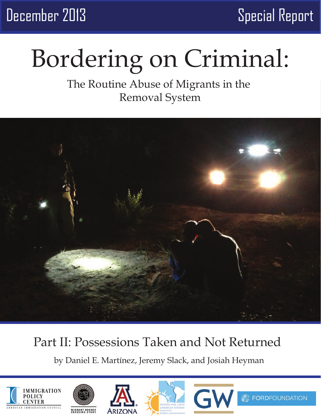December 2013 Special Report

# Bordering on Criminal:

## The Routine Abuse of Migrants in the Removal System



## Part II: Possessions Taken and Not Returned

by Daniel E. Martínez, Jeremy Slack, and Josiah Heyman











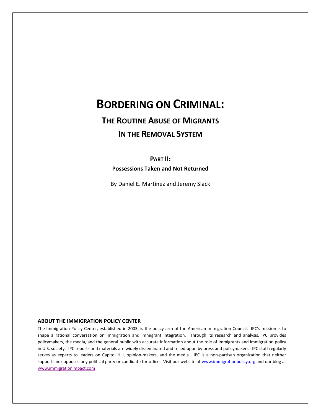## **BORDERING ON CRIMINAL:**

## **THE ROUTINE ABUSE OF MIGRANTS IN THE REMOVAL SYSTEM**

**PART II:**

**Possessions Taken and Not Returned**

By Daniel E. Martínez and Jeremy Slack

### **ABOUT THE IMMIGRATION POLICY CENTER**

The Immigration Policy Center, established in 2003, is the policy arm of the American Immigration Council. IPC's mission is to shape a rational conversation on immigration and immigrant integration. Through its research and analysis, IPC provides policymakers, the media, and the general public with accurate information about the role of immigrants and immigration policy in U.S. society. IPC reports and materials are widely disseminated and relied upon by press and policymakers. IPC staff regularly serves as experts to leaders on Capitol Hill, opinion-makers, and the media. IPC is a non-partisan organization that neither supports nor opposes any political party or candidate for office. Visit our website at [www.immigrationpolicy.org](http://www.immigrationpolicy.org/) and our blog at www.immigrationimpact.com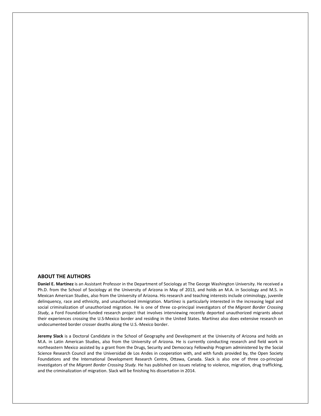### **ABOUT THE AUTHORS**

**Daniel E. Martínez** is an Assistant Professor in the Department of Sociology at The George Washington University. He received a Ph.D. from the School of Sociology at the University of Arizona in May of 2013, and holds an M.A. in Sociology and M.S. in Mexican American Studies, also from the University of Arizona. His research and teaching interests include criminology, juvenile delinquency, race and ethnicity, and unauthorized immigration. Martínez is particularly interested in the increasing legal and social criminalization of unauthorized migration. He is one of three co-principal investigators of the *Migrant Border Crossing Study*, a Ford Foundation-funded research project that involves interviewing recently deported unauthorized migrants about their experiences crossing the U.S-Mexico border and residing in the United States. Martínez also does extensive research on undocumented border crosser deaths along the U.S.-Mexico border.

**Jeremy Slack** is a Doctoral Candidate in the School of Geography and Development at the University of Arizona and holds an M.A. in Latin American Studies, also from the University of Arizona. He is currently conducting research and field work in northeastern Mexico assisted by a grant from the Drugs, Security and Democracy Fellowship Program administered by the Social Science Research Council and the Universidad de Los Andes in cooperation with, and with funds provided by, the Open Society Foundations and the International Development Research Centre, Ottawa, Canada. Slack is also one of three co-principal investigators of the *Migrant Border Crossing Study.* He has published on issues relating to violence, migration, drug trafficking, and the criminalization of migration. Slack will be finishing his dissertation in 2014.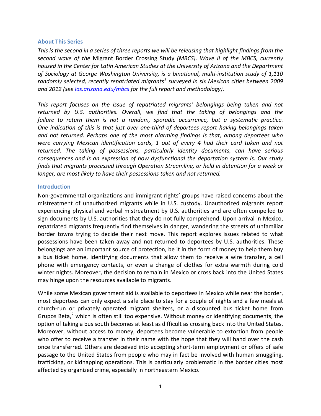### **About This Series**

*This is the second in a series of three reports we will be releasing that highlight findings from the second wave of the* Migrant Border Crossing Study *(MBCS)*. *Wave II of the MBCS, currently housed in the Center for Latin American Studies at the University of Arizona and the Department of Sociology at George Washington University, is a binational, multi-institution study of 1,110 randomly selected, recently repatriated migrants[1](#page-25-0) surveyed in six Mexican cities between 2009 and 2012 (se[e las.arizona.edu/mbcs](http://las.arizona.edu/mbcs) for the full report and methodology).* 

*This report focuses on the issue of repatriated migrants' belongings being taken and not returned by U.S. authorities. Overall, we find that the taking of belongings and the failure to return them is not a random, sporadic occurrence, but a systematic practice. One indication of this is that just over one-third of deportees report having belongings taken and not returned. Perhaps one of the most alarming findings is that, among deportees who were carrying Mexican identification cards, 1 out of every 4 had their card taken and not returned. The taking of possessions, particularly identity documents, can have serious consequences and is an expression of how dysfunctional the deportation system is. Our study finds that migrants processed through Operation Streamline, or held in detention for a week or longer, are most likely to have their possessions taken and not returned.* 

### **Introduction**

Non-governmental organizations and immigrant rights' groups have raised concerns about the mistreatment of unauthorized migrants while in U.S. custody. Unauthorized migrants report experiencing physical and verbal mistreatment by U.S. authorities and are often compelled to sign documents by U.S. authorities that they do not fully comprehend. Upon arrival in Mexico, repatriated migrants frequently find themselves in danger, wandering the streets of unfamiliar border towns trying to decide their next move. This report explores issues related to what possessions have been taken away and not returned to deportees by U.S. authorities. These belongings are an important source of protection, be it in the form of money to help them buy a bus ticket home, identifying documents that allow them to receive a wire transfer, a cell phone with emergency contacts, or even a change of clothes for extra warmth during cold winter nights. Moreover, the decision to remain in Mexico or cross back into the United States may hinge upon the resources available to migrants.

While some Mexican government aid is available to deportees in Mexico while near the border, most deportees can only expect a safe place to stay for a couple of nights and a few meals at church-run or privately operated migrant shelters, or a discounted bus ticket home from Grupos Beta, $^2$  $^2$  which is often still too expensive. Without money or identifying documents, the option of taking a bus south becomes at least as difficult as crossing back into the United States. Moreover, without access to money, deportees become vulnerable to extortion from people who offer to receive a transfer in their name with the hope that they will hand over the cash once transferred. Others are deceived into accepting short-term employment or offers of safe passage to the United States from people who may in fact be involved with human smuggling, trafficking, or kidnapping operations. This is particularly problematic in the border cities most affected by organized crime, especially in northeastern Mexico.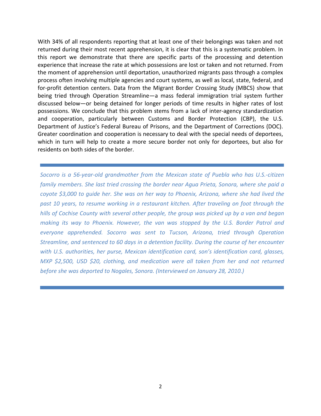With 34% of all respondents reporting that at least one of their belongings was taken and not returned during their most recent apprehension, it is clear that this is a systematic problem. In this report we demonstrate that there are specific parts of the processing and detention experience that increase the rate at which possessions are lost or taken and not returned. From the moment of apprehension until deportation, unauthorized migrants pass through a complex process often involving multiple agencies and court systems, as well as local, state, federal, and for-profit detention centers. Data from the Migrant Border Crossing Study (MBCS) show that being tried through Operation Streamline*—*a mass federal immigration trial system further discussed below—or being detained for longer periods of time results in higher rates of lost possessions. We conclude that this problem stems from a lack of inter-agency standardization and cooperation, particularly between Customs and Border Protection (CBP), the U.S. Department of Justice's Federal Bureau of Prisons, and the Department of Corrections (DOC). Greater coordination and cooperation is necessary to deal with the special needs of deportees, which in turn will help to create a more secure border not only for deportees, but also for residents on both sides of the border.

*Socorro is a 56-year-old grandmother from the Mexican state of Puebla who has U.S.-citizen family members. She last tried crossing the border near Agua Prieta, Sonora, where she paid a coyote \$3,000 to guide her. She was on her way to Phoenix, Arizona, where she had lived the past 10 years, to resume working in a restaurant kitchen. After traveling on foot through the hills of Cochise County with several other people, the group was picked up by a van and began making its way to Phoenix. However, the van was stopped by the U.S. Border Patrol and everyone apprehended. Socorro was sent to Tucson, Arizona, tried through Operation Streamline, and sentenced to 60 days in a detention facility. During the course of her encounter with U.S. authorities, her purse, Mexican identification card, son's identification card, glasses, MXP \$2,500, USD \$20, clothing, and medication were all taken from her and not returned before she was deported to Nogales, Sonora. (Interviewed on January 28, 2010.)*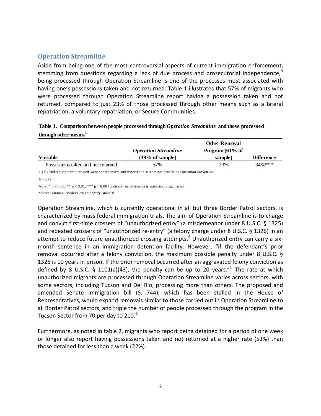### **Operation Streamline**

Aside from being one of the most controversial aspects of current immigration enforcement, stemming from questions regarding a lack of due process and prosecutorial independence.<sup>[3](#page-25-2)</sup> being processed through Operation Streamline is one of the processes most associated with having one's possessions taken and not returned. Table 1 illustrates that 57% of migrants who were processed through Operation Streamline report having a possession taken and not returned, compared to just 23% of those processed through other means such as a lateral repatriation, a voluntary repatriation, or Secure Communities.

| Table 1. Comparison between people processed through Operation Streamline and those processed |  |
|-----------------------------------------------------------------------------------------------|--|
| through other means <sup>1</sup>                                                              |  |

|                                                                                                                       |                             | <b>Other Removal</b> |                   |  |
|-----------------------------------------------------------------------------------------------------------------------|-----------------------------|----------------------|-------------------|--|
|                                                                                                                       | <b>Operation Streamline</b> | Program $(61\%$ of   |                   |  |
| Variable                                                                                                              | (39% of sample)             | sample)              | <b>Difference</b> |  |
| Possessions taken and not returned                                                                                    | 57%                         | 23%                  | $34%***$          |  |
| 1.) Excludes people who crossed, were apprehended, and deported in sectors not practicing <i>Operation Streamline</i> |                             |                      |                   |  |
| $N = 877$                                                                                                             |                             |                      |                   |  |
| Note: * $p < 0.05$ , ** $p < 0.01$ , *** $p < 0.001$ indicate the difference is statistically significant             |                             |                      |                   |  |

*Source: Migrant Border Crossing Study, Wave II*

Operation Streamline, which is currently operational in all but three Border Patrol sectors, is characterized by mass federal immigration trials. The aim of Operation Streamline is to charge and convict first-time crossers of "unauthorized entry" (a misdemeanor under 8 U.S.C. § 1325) and repeated crossers of "unauthorized re-entry" (a felony charge under 8 U.S.C. § 1326) in an attempt to reduce future unauthorized crossing attempts.<sup>[4](#page-25-3)</sup> Unauthorized entry can carry a sixmonth sentence in an immigration detention facility. However, "if the defendant's prior removal occurred after a felony conviction, the maximum possible penalty under 8 U.S.C. § 1326 is 10 years in prison. If the prior removal occurred after an aggravated felony conviction as defined by 8 U.S.C. § 1101(a)(43), the penalty can be up to 20 years."<sup>[5](#page-25-4)</sup> The rate at which unauthorized migrants are processed through Operation Streamline varies across sectors, with some sectors, including Tucson and Del Rio, processing more than others. The proposed and amended Senate immigration bill (S. 744), which has been stalled in the House of Representatives, would expand removals similar to those carried out in Operation Streamline to all Border Patrol sectors, and triple the number of people processed through the program in the Tucson Sector from 70 per day to 210.<sup>[6](#page-25-5)</sup>

Furthermore, as noted in table 2, migrants who report being detained for a period of one week or longer also report having possessions taken and not returned at a higher rate (53%) than those detained for less than a week (22%).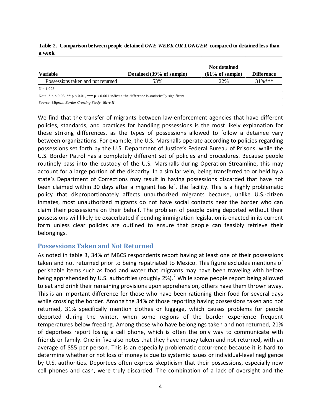|                                    |                          | Not detained               |                   |
|------------------------------------|--------------------------|----------------------------|-------------------|
| <b>Variable</b>                    | Detained (39% of sample) | $(61\% \text{ of sample})$ | <b>Difference</b> |
| Possessions taken and not returned | 53%                      | 22%                        | $31\%***$         |
|                                    |                          |                            |                   |

### **Table 2. Comparison between people detained** *ONE WEEK OR LONGER* **compared to detained less than a week**

 $N = 1,093$ 

Note: \*  $p < 0.05$ , \*\*  $p < 0.01$ , \*\*\*  $p < 0.001$  indicate the difference is statistically significant

*Source: Migrant Border Crossing Study, Wave II*

We find that the transfer of migrants between law-enforcement agencies that have different policies, standards, and practices for handling possessions is the most likely explanation for these striking differences, as the types of possessions allowed to follow a detainee vary between organizations. For example, the U.S. Marshalls operate according to policies regarding possessions set forth by the U.S. Department of Justice's Federal Bureau of Prisons, while the U.S. Border Patrol has a completely different set of policies and procedures. Because people routinely pass into the custody of the U.S. Marshalls during Operation Streamline, this may account for a large portion of the disparity. In a similar vein, being transferred to or held by a state's Department of Corrections may result in having possessions discarded that have not been claimed within 30 days after a migrant has left the facility. This is a highly problematic policy that disproportionately affects unauthorized migrants because, unlike U.S.-citizen inmates, most unauthorized migrants do not have social contacts near the border who can claim their possessions on their behalf. The problem of people being deported without their possessions will likely be exacerbated if pending immigration legislation is enacted in its current form unless clear policies are outlined to ensure that people can feasibly retrieve their belongings.

### **Possessions Taken and Not Returned**

As noted in table 3, 34% of MBCS respondents report having at least one of their possessions taken and not returned prior to being repatriated to Mexico. This figure excludes mentions of perishable items such as food and water that migrants may have been traveling with before being apprehended by U.S. authorities (roughly 2%).<sup>[7](#page-25-6)</sup> While some people report being allowed to eat and drink their remaining provisions upon apprehension, others have them thrown away. This is an important difference for those who have been rationing their food for several days while crossing the border. Among the 34% of those reporting having possessions taken and not returned, 31% specifically mention clothes or luggage, which causes problems for people deported during the winter, when some regions of the border experience frequent temperatures below freezing. Among those who have belongings taken and not returned, 21% of deportees report losing a cell phone, which is often the only way to communicate with friends or family. One in five also notes that they have money taken and not returned, with an average of \$55 per person. This is an especially problematic occurrence because it is hard to determine whether or not loss of money is due to systemic issues or individual-level negligence by U.S. authorities. Deportees often express skepticism that their possessions, especially new cell phones and cash, were truly discarded. The combination of a lack of oversight and the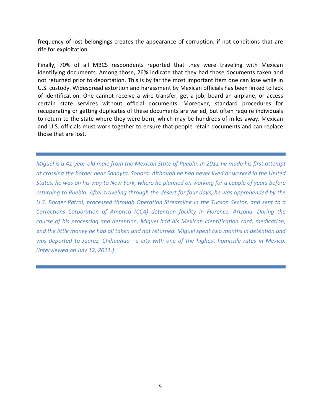frequency of lost belongings creates the appearance of corruption, if not conditions that are rife for exploitation.

Finally, 70% of all MBCS respondents reported that they were traveling with Mexican identifying documents. Among those, 26% indicate that they had those documents taken and not returned prior to deportation. This is by far the most important item one can lose while in U.S. custody. Widespread extortion and harassment by Mexican officials has been linked to lack of identification. One cannot receive a wire transfer, get a job, board an airplane, or access certain state services without official documents. Moreover, standard procedures for recuperating or getting duplicates of these documents are varied, but often require individuals to return to the state where they were born, which may be hundreds of miles away. Mexican and U.S. officials must work together to ensure that people retain documents and can replace those that are lost.

*Miguel is a 41-year-old male from the Mexican State of Puebla. In 2011 he made his first attempt at crossing the border near Sonoyta, Sonora. Although he had never lived or worked in the United States, he was on his way to New York, where he planned on working for a couple of years before returning to Puebla. After traveling through the desert for four days, he was apprehended by the U.S. Border Patrol, processed through Operation Streamline in the Tucson Sector, and sent to a Corrections Corporation of America (CCA) detention facility in Florence, Arizona. During the course of his processing and detention, Miguel had his Mexican identification card, medication, and the little money he had all taken and not returned. Miguel spent two months in detention and was deported to Juárez, Chihuahua—a city with one of the highest homicide rates in Mexico. (Interviewed on July 12, 2011.)*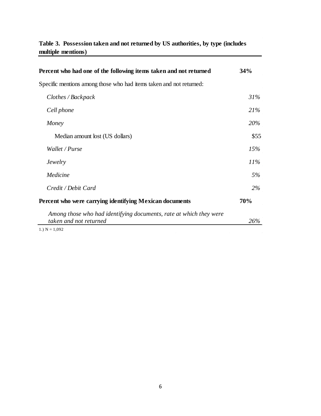### **Table 3. Possession taken and not returned by US authorities, by type (includes multiple mentions)**

| Percent who had one of the following items taken and not returned                            | 34%    |
|----------------------------------------------------------------------------------------------|--------|
| Specific mentions among those who had items taken and not returned:                          |        |
| Clothes / Backpack                                                                           | 31%    |
| Cell phone                                                                                   | 21%    |
| Money                                                                                        | 20%    |
| Median amount lost (US dollars)                                                              | \$55   |
| Wallet / Purse                                                                               | 15%    |
| <i>Jewelry</i>                                                                               | $11\%$ |
| Medicine                                                                                     | 5%     |
| Credit / Debit Card                                                                          | 2%     |
| Percent who were carrying identifying Mexican documents                                      | 70%    |
| Among those who had identifying documents, rate at which they were<br>taken and not returned | 26%    |

 $\sim$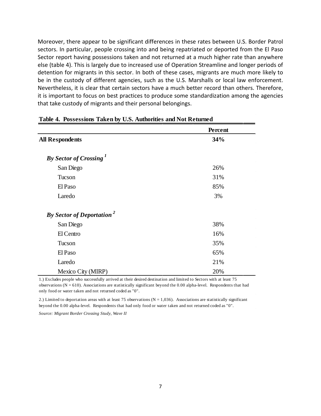Moreover, there appear to be significant differences in these rates between U.S. Border Patrol sectors. In particular, people crossing into and being repatriated or deported from the El Paso Sector report having possessions taken and not returned at a much higher rate than anywhere else (table 4). This is largely due to increased use of Operation Streamline and longer periods of detention for migrants in this sector. In both of these cases, migrants are much more likely to be in the custody of different agencies, such as the U.S. Marshalls or local law enforcement. Nevertheless, it is clear that certain sectors have a much better record than others. Therefore, it is important to focus on best practices to produce some standardization among the agencies that take custody of migrants and their personal belongings.

|                                              | Percent |
|----------------------------------------------|---------|
| <b>All Respondents</b>                       | 34%     |
| By Sector of Crossing <sup>1</sup>           |         |
| San Diego                                    | 26%     |
| Tucson                                       | 31%     |
| El Paso                                      | 85%     |
| Laredo                                       | 3%      |
| <b>By Sector of Deportation</b> <sup>2</sup> |         |
| San Diego                                    | 38%     |
| El Centro                                    | 16%     |
| Tucson                                       | 35%     |
| El Paso                                      | 65%     |
| Laredo                                       | 21%     |
| Mexico City (MIRP)                           | 20%     |

### **Table 4. Possessions Taken by U.S. Authorities and Not Returned**

1.) Excludes people who successfully arrived at their desired destination and limited to Sectors with at least 75 observations (N = 610). Associations are statistically significant beyond the 0.00 alpha-level. Respondents that had only food or water taken and not returned coded as "0".

2.) Limited to deportation areas with at least 75 observations ( $N = 1,036$ ). Associations are statistically significant beyond the 0.00 alpha-level. Respondents that had only food or water taken and not returned coded as "0".

*Source: Migrant Border Crossing Study, Wave II*